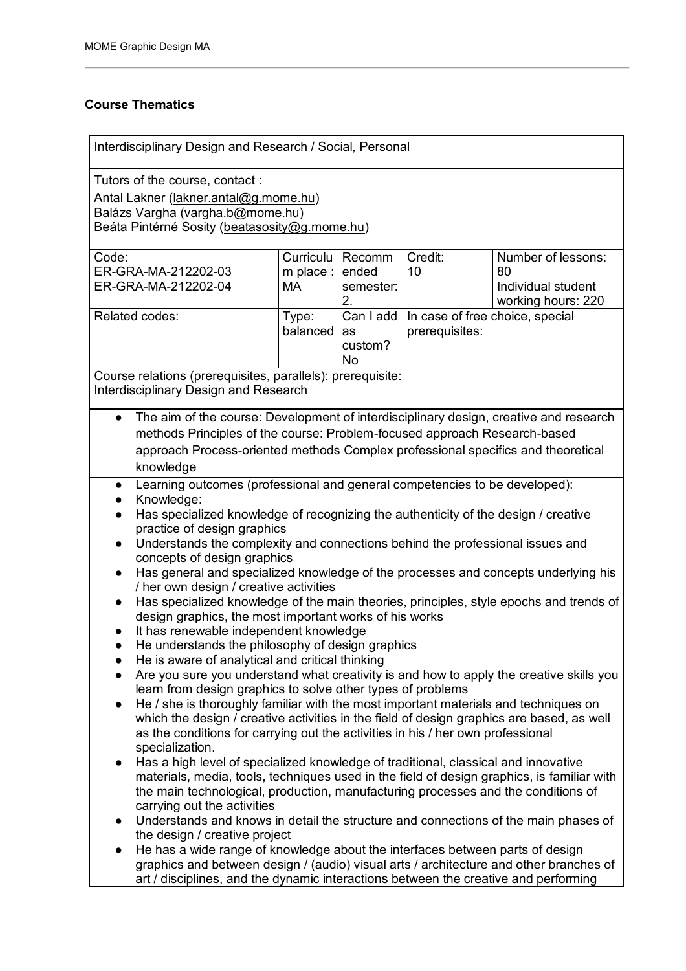#### **Course Thematics**

Interdisciplinary Design and Research / Social, Personal Tutors of the course, contact : Antal Lakner [\(lakner.antal@g.mome.hu\)](mailto:akner.antal@g.mome.hu) Balázs Vargha (vargha.b@mome.hu) Beáta Pintérné Sosity ([beatasosity@g.mome.hu\)](mailto:beatasosity@g.mome.hu) Code: ER-GRA-MA-212202-03 ER-GRA-MA-212202-04 Curriculu Recomm m place : I MA ended semester: 2. Credit: 10 Number of lessons: 80 Individual student working hours: 220 Related codes: Type: balanced Can I add as custom? No In case of free choice, special prerequisites: Course relations (prerequisites, parallels): prerequisite: Interdisciplinary Design and Research The aim of the course: Development of interdisciplinary design, creative and research methods Principles of the course: Problem-focused approach Research-based approach Process-oriented methods Complex professional specifics and theoretical knowledge ● Learning outcomes (professional and general competencies to be developed): ● Knowledge: Has specialized knowledge of recognizing the authenticity of the design / creative practice of design graphics ● Understands the complexity and connections behind the professional issues and concepts of design graphics ● Has general and specialized knowledge of the processes and concepts underlying his / her own design / creative activities ● Has specialized knowledge of the main theories, principles, style epochs and trends of design graphics, the most important works of his works ● It has renewable independent knowledge ● He understands the philosophy of design graphics ● He is aware of analytical and critical thinking ● Are you sure you understand what creativity is and how to apply the creative skills you learn from design graphics to solve other types of problems ● He / she is thoroughly familiar with the most important materials and techniques on which the design / creative activities in the field of design graphics are based, as well as the conditions for carrying out the activities in his / her own professional specialization. ● Has a high level of specialized knowledge of traditional, classical and innovative materials, media, tools, techniques used in the field of design graphics, is familiar with the main technological, production, manufacturing processes and the conditions of carrying out the activities ● Understands and knows in detail the structure and connections of the main phases of the design / creative project He has a wide range of knowledge about the interfaces between parts of design graphics and between design / (audio) visual arts / architecture and other branches of

art / disciplines, and the dynamic interactions between the creative and performing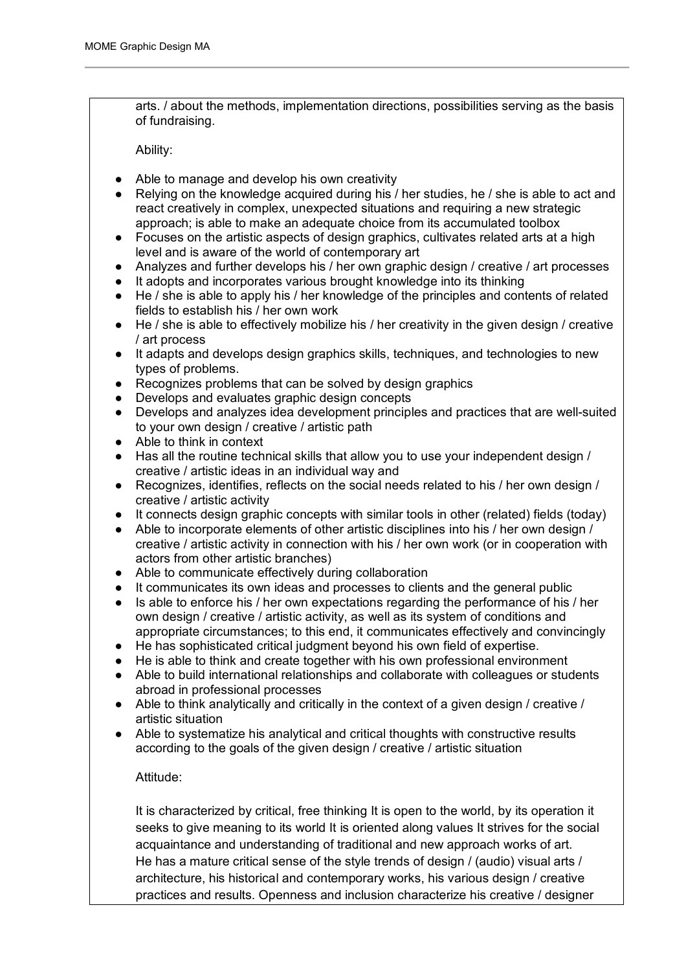arts. / about the methods, implementation directions, possibilities serving as the basis of fundraising.

Ability:

- Able to manage and develop his own creativity
- Relying on the knowledge acquired during his / her studies, he / she is able to act and react creatively in complex, unexpected situations and requiring a new strategic approach; is able to make an adequate choice from its accumulated toolbox
- Focuses on the artistic aspects of design graphics, cultivates related arts at a high level and is aware of the world of contemporary art
- Analyzes and further develops his / her own graphic design / creative / art processes
- It adopts and incorporates various brought knowledge into its thinking
- He / she is able to apply his / her knowledge of the principles and contents of related fields to establish his / her own work
- He / she is able to effectively mobilize his / her creativity in the given design / creative / art process
- It adapts and develops design graphics skills, techniques, and technologies to new types of problems.
- Recognizes problems that can be solved by design graphics
- Develops and evaluates graphic design concepts
- Develops and analyzes idea development principles and practices that are well-suited to your own design / creative / artistic path
- Able to think in context
- Has all the routine technical skills that allow you to use your independent design / creative / artistic ideas in an individual way and
- Recognizes, identifies, reflects on the social needs related to his / her own design / creative / artistic activity
- It connects design graphic concepts with similar tools in other (related) fields (today)
- Able to incorporate elements of other artistic disciplines into his / her own design / creative / artistic activity in connection with his / her own work (or in cooperation with actors from other artistic branches)
- Able to communicate effectively during collaboration
- It communicates its own ideas and processes to clients and the general public
- Is able to enforce his / her own expectations regarding the performance of his / her own design / creative / artistic activity, as well as its system of conditions and appropriate circumstances; to this end, it communicates effectively and convincingly
- He has sophisticated critical judgment beyond his own field of expertise.
- He is able to think and create together with his own professional environment
- Able to build international relationships and collaborate with colleagues or students abroad in professional processes
- Able to think analytically and critically in the context of a given design / creative / artistic situation
- Able to systematize his analytical and critical thoughts with constructive results according to the goals of the given design / creative / artistic situation

#### Attitude:

It is characterized by critical, free thinking It is open to the world, by its operation it seeks to give meaning to its world It is oriented along values It strives for the social acquaintance and understanding of traditional and new approach works of art. He has a mature critical sense of the style trends of design / (audio) visual arts / architecture, his historical and contemporary works, his various design / creative practices and results. Openness and inclusion characterize his creative / designer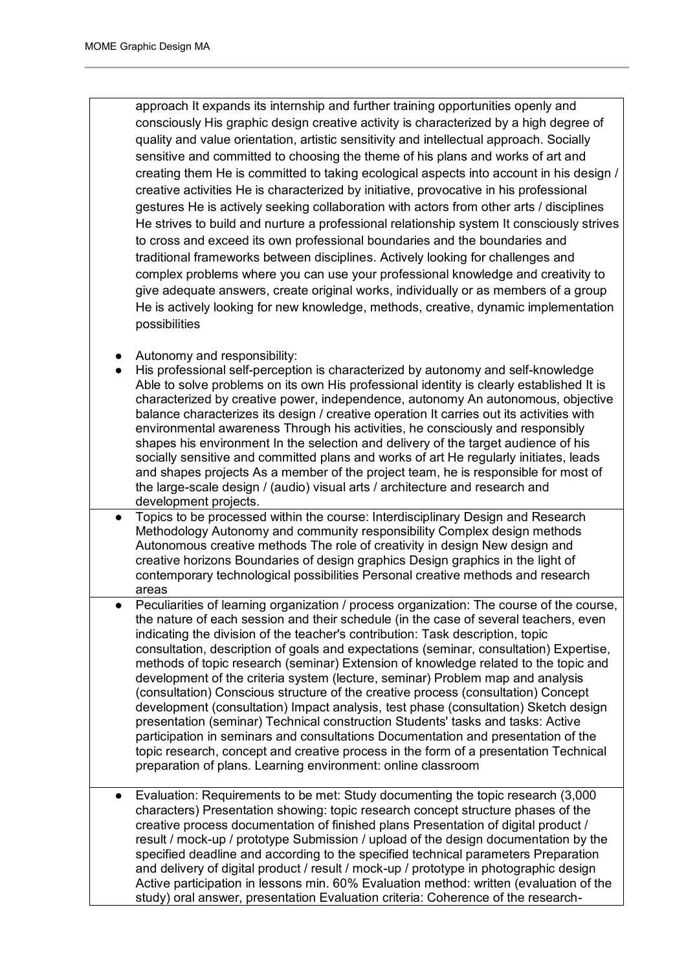approach It expands its internship and further training opportunities openly and consciously His graphic design creative activity is characterized by a high degree of quality and value orientation, artistic sensitivity and intellectual approach. Socially sensitive and committed to choosing the theme of his plans and works of art and creating them He is committed to taking ecological aspects into account in his design / creative activities He is characterized by initiative, provocative in his professional gestures He is actively seeking collaboration with actors from other arts / disciplines He strives to build and nurture a professional relationship system It consciously strives to cross and exceed its own professional boundaries and the boundaries and traditional frameworks between disciplines. Actively looking for challenges and complex problems where you can use your professional knowledge and creativity to give adequate answers, create original works, individually or as members of a group He is actively looking for new knowledge, methods, creative, dynamic implementation possibilities

- Autonomy and responsibility:
- His professional self-perception is characterized by autonomy and self-knowledge Able to solve problems on its own His professional identity is clearly established It is characterized by creative power, independence, autonomy An autonomous, objective balance characterizes its design / creative operation It carries out its activities with environmental awareness Through his activities, he consciously and responsibly shapes his environment In the selection and delivery of the target audience of his socially sensitive and committed plans and works of art He regularly initiates, leads and shapes projects As a member of the project team, he is responsible for most of the large-scale design / (audio) visual arts / architecture and research and development projects.
- Topics to be processed within the course: Interdisciplinary Design and Research Methodology Autonomy and community responsibility Complex design methods Autonomous creative methods The role of creativity in design New design and creative horizons Boundaries of design graphics Design graphics in the light of contemporary technological possibilities Personal creative methods and research areas
- Peculiarities of learning organization / process organization: The course of the course, the nature of each session and their schedule (in the case of several teachers, even indicating the division of the teacher's contribution: Task description, topic consultation, description of goals and expectations (seminar, consultation) Expertise, methods of topic research (seminar) Extension of knowledge related to the topic and development of the criteria system (lecture, seminar) Problem map and analysis (consultation) Conscious structure of the creative process (consultation) Concept development (consultation) Impact analysis, test phase (consultation) Sketch design presentation (seminar) Technical construction Students' tasks and tasks: Active participation in seminars and consultations Documentation and presentation of the topic research, concept and creative process in the form of a presentation Technical preparation of plans. Learning environment: online classroom
- Evaluation: Requirements to be met: Study documenting the topic research (3,000) characters) Presentation showing: topic research concept structure phases of the creative process documentation of finished plans Presentation of digital product / result / mock-up / prototype Submission / upload of the design documentation by the specified deadline and according to the specified technical parameters Preparation and delivery of digital product / result / mock-up / prototype in photographic design Active participation in lessons min. 60% Evaluation method: written (evaluation of the study) oral answer, presentation Evaluation criteria: Coherence of the research-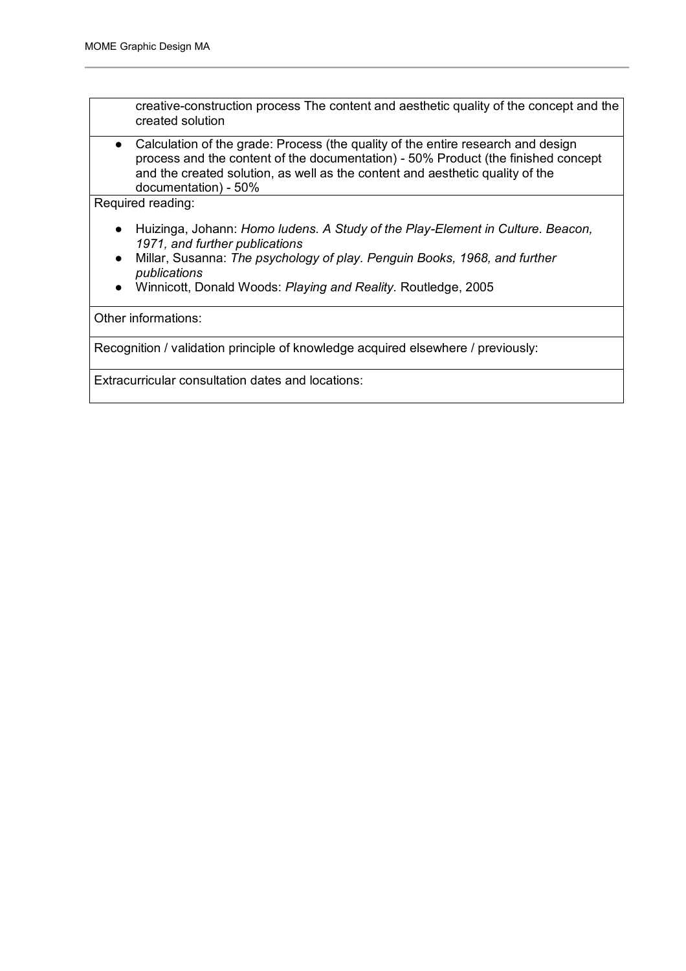$\blacksquare$ 

| created solution                                                                                                                                                                                                                                                                                         |
|----------------------------------------------------------------------------------------------------------------------------------------------------------------------------------------------------------------------------------------------------------------------------------------------------------|
| Calculation of the grade: Process (the quality of the entire research and design<br>$\bullet$<br>process and the content of the documentation) - 50% Product (the finished concept<br>and the created solution, as well as the content and aesthetic quality of the<br>documentation) - 50%              |
| Required reading:                                                                                                                                                                                                                                                                                        |
| Huizinga, Johann: Homo ludens. A Study of the Play-Element in Culture. Beacon,<br>$\bullet$<br>1971, and further publications<br>Millar, Susanna: The psychology of play. Penguin Books, 1968, and further<br>$\bullet$<br>publications<br>Winnicott, Donald Woods: Playing and Reality. Routledge, 2005 |
| Other informations:                                                                                                                                                                                                                                                                                      |
| Recognition / validation principle of knowledge acquired elsewhere / previously:                                                                                                                                                                                                                         |
| Extracurricular consultation dates and locations:                                                                                                                                                                                                                                                        |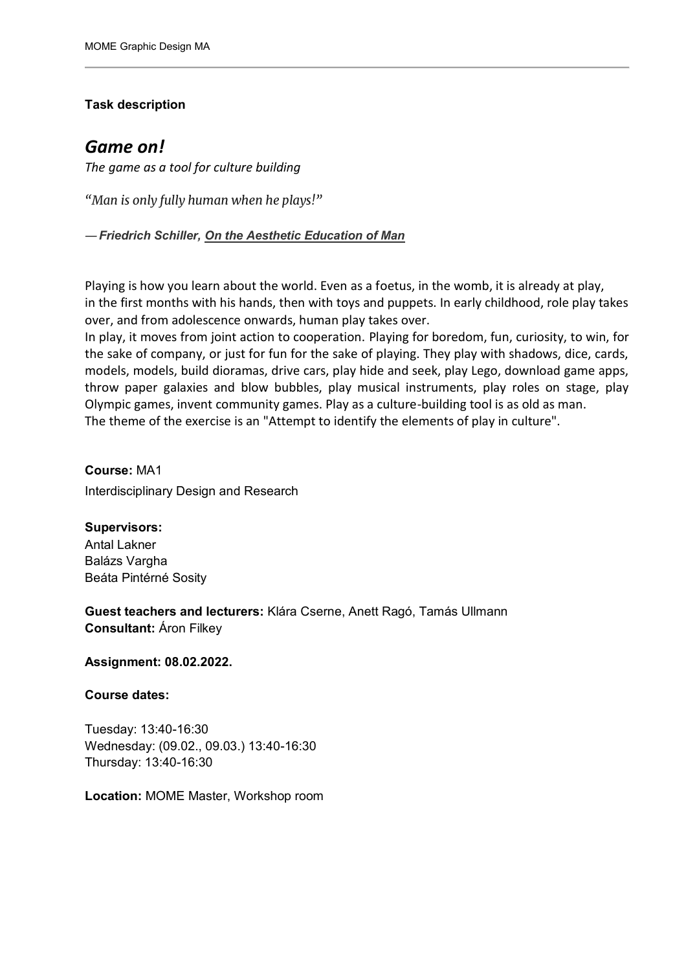## **Task description**

# *Game on!*

*The game as a tool for culture building*

*"Man is only fully human when he plays!"*

*―Friedrich Schiller, [On the Aesthetic Education of Man](https://www.goodreads.com/work/quotes/91490)*

Playing is how you learn about the world. Even as a foetus, in the womb, it is already at play, in the first months with his hands, then with toys and puppets. In early childhood, role play takes over, and from adolescence onwards, human play takes over.

In play, it moves from joint action to cooperation. Playing for boredom, fun, curiosity, to win, for the sake of company, or just for fun for the sake of playing. They play with shadows, dice, cards, models, models, build dioramas, drive cars, play hide and seek, play Lego, download game apps, throw paper galaxies and blow bubbles, play musical instruments, play roles on stage, play Olympic games, invent community games. Play as a culture-building tool is as old as man. The theme of the exercise is an "Attempt to identify the elements of play in culture".

**Course:** MA1 Interdisciplinary Design and Research

**Supervisors:** Antal Lakner Balázs Vargha Beáta Pintérné Sosity

**Guest teachers and lecturers:** Klára Cserne, Anett Ragó, Tamás Ullmann **Consultant:** Áron Filkey

**Assignment: 08.02.2022.**

**Course dates:**

Tuesday: 13:40-16:30 Wednesday: (09.02., 09.03.) 13:40-16:30 Thursday: 13:40-16:30

**Location:** MOME Master, Workshop room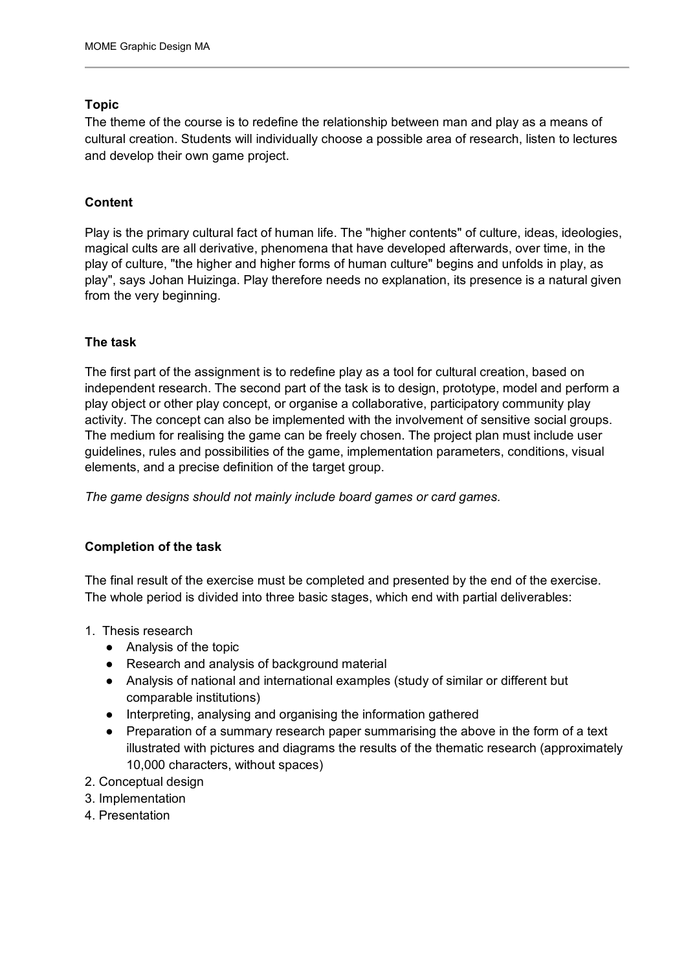#### **Topic**

The theme of the course is to redefine the relationship between man and play as a means of cultural creation. Students will individually choose a possible area of research, listen to lectures and develop their own game project.

## **Content**

Play is the primary cultural fact of human life. The "higher contents" of culture, ideas, ideologies, magical cults are all derivative, phenomena that have developed afterwards, over time, in the play of culture, "the higher and higher forms of human culture" begins and unfolds in play, as play", says Johan Huizinga. Play therefore needs no explanation, its presence is a natural given from the very beginning.

#### **The task**

The first part of the assignment is to redefine play as a tool for cultural creation, based on independent research. The second part of the task is to design, prototype, model and perform a play object or other play concept, or organise a collaborative, participatory community play activity. The concept can also be implemented with the involvement of sensitive social groups. The medium for realising the game can be freely chosen. The project plan must include user guidelines, rules and possibilities of the game, implementation parameters, conditions, visual elements, and a precise definition of the target group.

*The game designs should not mainly include board games or card games.*

#### **Completion of the task**

The final result of the exercise must be completed and presented by the end of the exercise. The whole period is divided into three basic stages, which end with partial deliverables:

- 1. Thesis research
	- Analysis of the topic
	- Research and analysis of background material
	- Analysis of national and international examples (study of similar or different but comparable institutions)
	- Interpreting, analysing and organising the information gathered
	- Preparation of a summary research paper summarising the above in the form of a text illustrated with pictures and diagrams the results of the thematic research (approximately 10,000 characters, without spaces)
- 2. Conceptual design
- 3. Implementation
- 4. Presentation